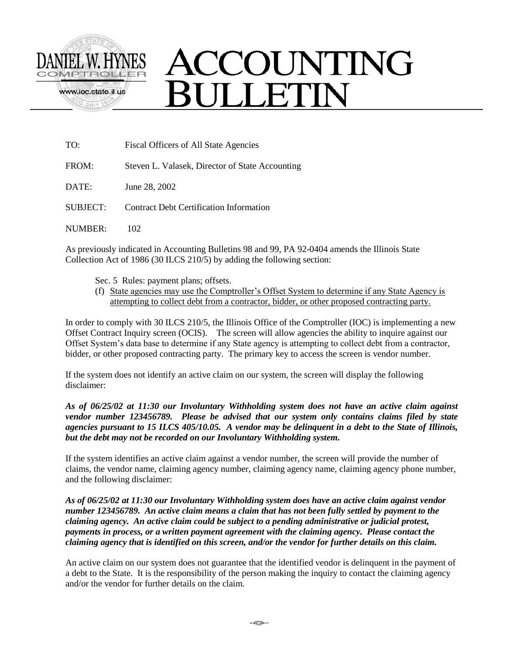

# ACCOUNTING **JULLETIN**

| TO:      | Fiscal Officers of All State Agencies           |  |
|----------|-------------------------------------------------|--|
| FROM:    | Steven L. Valasek, Director of State Accounting |  |
| DATE:    | June 28, 2002                                   |  |
| SUBJECT: | Contract Debt Certification Information         |  |
| NUMBER:  |                                                 |  |

As previously indicated in Accounting Bulletins 98 and 99, PA 92-0404 amends the Illinois State Collection Act of 1986 (30 ILCS 210/5) by adding the following section:

Sec. 5 Rules: payment plans; offsets.

(f) State agencies may use the Comptroller's Offset System to determine if any State Agency is attempting to collect debt from a contractor, bidder, or other proposed contracting party.

In order to comply with 30 ILCS 210/5, the Illinois Office of the Comptroller (IOC) is implementing a new Offset Contract Inquiry screen (OCIS). The screen will allow agencies the ability to inquire against our Offset System's data base to determine if any State agency is attempting to collect debt from a contractor, bidder, or other proposed contracting party. The primary key to access the screen is vendor number.

If the system does not identify an active claim on our system, the screen will display the following disclaimer:

*As of 06/25/02 at 11:30 our Involuntary Withholding system does not have an active claim against vendor number 123456789. Please be advised that our system only contains claims filed by state agencies pursuant to 15 ILCS 405/10.05. A vendor may be delinquent in a debt to the State of Illinois, but the debt may not be recorded on our Involuntary Withholding system.*

If the system identifies an active claim against a vendor number, the screen will provide the number of claims, the vendor name, claiming agency number, claiming agency name, claiming agency phone number, and the following disclaimer:

*As of 06/25/02 at 11:30 our Involuntary Withholding system does have an active claim against vendor number 123456789. An active claim means a claim that has not been fully settled by payment to the claiming agency. An active claim could be subject to a pending administrative or judicial protest, payments in process, or a written payment agreement with the claiming agency. Please contact the claiming agency that is identified on this screen, and/or the vendor for further details on this claim.*

An active claim on our system does not guarantee that the identified vendor is delinquent in the payment of a debt to the State. It is the responsibility of the person making the inquiry to contact the claiming agency and/or the vendor for further details on the claim.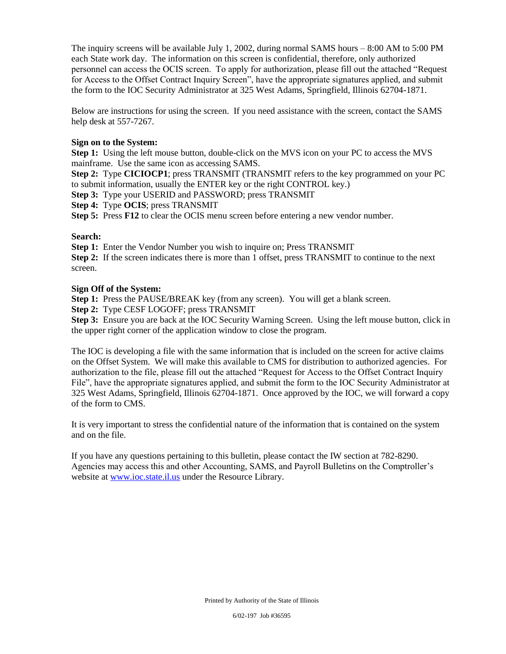The inquiry screens will be available July 1, 2002, during normal SAMS hours – 8:00 AM to 5:00 PM each State work day. The information on this screen is confidential, therefore, only authorized personnel can access the OCIS screen. To apply for authorization, please fill out the attached "Request for Access to the Offset Contract Inquiry Screen", have the appropriate signatures applied, and submit the form to the IOC Security Administrator at 325 West Adams, Springfield, Illinois 62704-1871.

Below are instructions for using the screen. If you need assistance with the screen, contact the SAMS help desk at 557-7267.

#### **Sign on to the System:**

**Step 1:** Using the left mouse button, double-click on the MVS icon on your PC to access the MVS mainframe. Use the same icon as accessing SAMS.

**Step 2:** Type **CICIOCP1**; press TRANSMIT (TRANSMIT refers to the key programmed on your PC to submit information, usually the ENTER key or the right CONTROL key.)

**Step 3:** Type your USERID and PASSWORD; press TRANSMIT

**Step 4:** Type **OCIS**; press TRANSMIT

**Step 5:** Press **F12** to clear the OCIS menu screen before entering a new vendor number.

#### **Search:**

**Step 1:** Enter the Vendor Number you wish to inquire on; Press TRANSMIT

**Step 2:** If the screen indicates there is more than 1 offset, press TRANSMIT to continue to the next screen.

#### **Sign Off of the System:**

**Step 1:** Press the PAUSE/BREAK key (from any screen). You will get a blank screen.

**Step 2:** Type CESF LOGOFF; press TRANSMIT

**Step 3:** Ensure you are back at the IOC Security Warning Screen. Using the left mouse button, click in the upper right corner of the application window to close the program.

The IOC is developing a file with the same information that is included on the screen for active claims on the Offset System. We will make this available to CMS for distribution to authorized agencies. For authorization to the file, please fill out the attached "Request for Access to the Offset Contract Inquiry File", have the appropriate signatures applied, and submit the form to the IOC Security Administrator at 325 West Adams, Springfield, Illinois 62704-1871. Once approved by the IOC, we will forward a copy of the form to CMS.

It is very important to stress the confidential nature of the information that is contained on the system and on the file.

If you have any questions pertaining to this bulletin, please contact the IW section at 782-8290. Agencies may access this and other Accounting, SAMS, and Payroll Bulletins on the Comptroller's website at www.ioc.state.il.us under the Resource Library.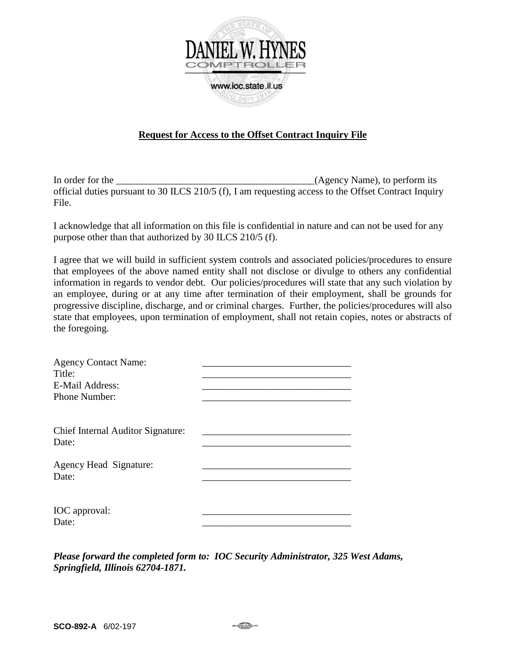

## **Request for Access to the Offset Contract Inquiry File**

In order for the the contract of the contract of the contract of the contract of the contract of the contract of the contract of the contract of the contract of the contract of the contract of the contract of the contract official duties pursuant to 30 ILCS 210/5 (f), I am requesting access to the Offset Contract Inquiry File.

I acknowledge that all information on this file is confidential in nature and can not be used for any purpose other than that authorized by 30 ILCS 210/5 (f).

I agree that we will build in sufficient system controls and associated policies/procedures to ensure that employees of the above named entity shall not disclose or divulge to others any confidential information in regards to vendor debt. Our policies/procedures will state that any such violation by an employee, during or at any time after termination of their employment, shall be grounds for progressive discipline, discharge, and or criminal charges. Further, the policies/procedures will also state that employees, upon termination of employment, shall not retain copies, notes or abstracts of the foregoing.

| <b>Agency Contact Name:</b>       |  |
|-----------------------------------|--|
| Title:                            |  |
| E-Mail Address:                   |  |
| Phone Number:                     |  |
|                                   |  |
|                                   |  |
| Chief Internal Auditor Signature: |  |
| Date:                             |  |
|                                   |  |
| Agency Head Signature:            |  |
| Date:                             |  |
|                                   |  |
| IOC approval:                     |  |
| Date:                             |  |
|                                   |  |

*Please forward the completed form to: IOC Security Administrator, 325 West Adams, Springfield, Illinois 62704-1871.*

man<del>ske k</del>o